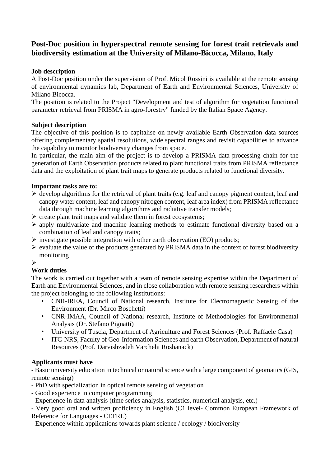# **Post-Doc position in hyperspectral remote sensing for forest trait retrievals and biodiversity estimation at the University of Milano-Bicocca, Milano, Italy**

### **Job description**

A Post-Doc position under the supervision of Prof. Micol Rossini is available at the remote sensing of environmental dynamics lab, Department of Earth and Environmental Sciences, University of Milano Bicocca.

The position is related to the Project "Development and test of algorithm for vegetation functional parameter retrieval from PRISMA in agro-forestry" funded by the Italian Space Agency.

#### **Subject description**

The objective of this position is to capitalise on newly available Earth Observation data sources offering complementary spatial resolutions, wide spectral ranges and revisit capabilities to advance the capability to monitor biodiversity changes from space.

In particular, the main aim of the project is to develop a PRISMA data processing chain for the generation of Earth Observation products related to plant functional traits from PRISMA reflectance data and the exploitation of plant trait maps to generate products related to functional diversity.

#### **Important tasks are to:**

- $\triangleright$  develop algorithms for the retrieval of plant traits (e.g. leaf and canopy pigment content, leaf and canopy water content, leaf and canopy nitrogen content, leaf area index) from PRISMA reflectance data through machine learning algorithms and radiative transfer models;
- ➢ create plant trait maps and validate them in forest ecosystems;
- ➢ apply multivariate and machine learning methods to estimate functional diversity based on a combination of leaf and canopy traits;
- $\triangleright$  investigate possible integration with other earth observation (EO) products;
- $\triangleright$  evaluate the value of the products generated by PRISMA data in the context of forest biodiversity monitoring

#### ➢

## **Work duties**

The work is carried out together with a team of remote sensing expertise within the Department of Earth and Environmental Sciences, and in close collaboration with remote sensing researchers within the project belonging to the following institutions:

- CNR-IREA, Council of National research, Institute for Electromagnetic Sensing of the Environment (Dr. Mirco Boschetti)
- CNR-IMAA, Council of National research, Institute of Methodologies for Environmental Analysis (Dr. Stefano Pignatti)
- University of Tuscia, Department of Agriculture and Forest Sciences (Prof. Raffaele Casa)
- ITC-NRS, Faculty of Geo-Information Sciences and earth Observation, Department of natural Resources (Prof. Darvishzadeh Varchehi Roshanack)

#### **Applicants must have**

- Basic university education in technical or natural science with a large component of geomatics (GIS, remote sensing)

- PhD with specialization in optical remote sensing of vegetation
- Good experience in computer programming
- Experience in data analysis (time series analysis, statistics, numerical analysis, etc.)

- Very good oral and written proficiency in English (C1 level- Common European Framework of Reference for Languages - CEFRL)

- Experience within applications towards plant science / ecology / biodiversity